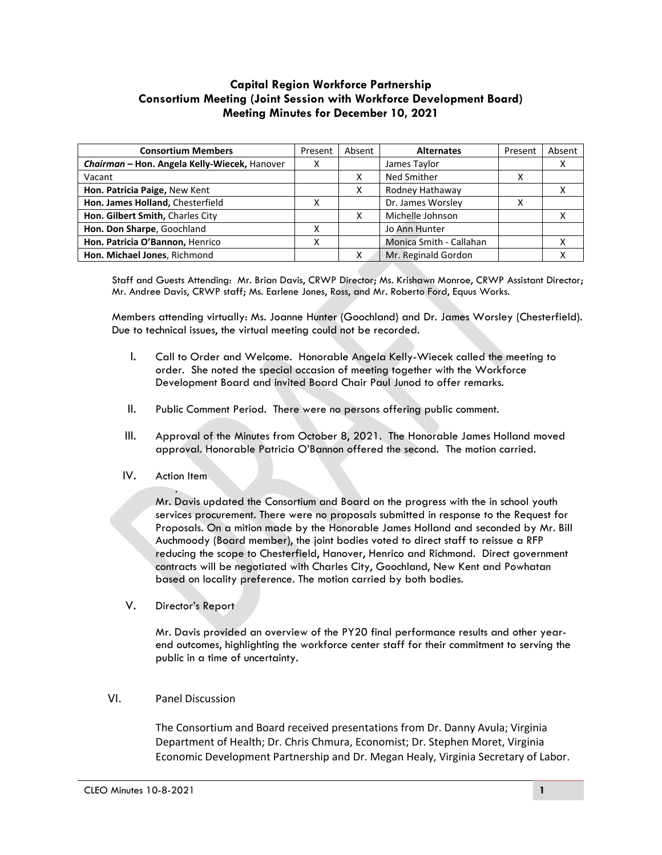## **Capital Region Workforce Partnership Consortium Meeting (Joint Session with Workforce Development Board) Meeting Minutes for December 10, 2021**

| <b>Consortium Members</b>                    | Present | Absent | <b>Alternates</b>       | Present | Absent |
|----------------------------------------------|---------|--------|-------------------------|---------|--------|
| Chairman - Hon. Angela Kelly-Wiecek, Hanover | х       |        | James Taylor            |         |        |
| Vacant                                       |         |        | Ned Smither             | ៱       |        |
| Hon. Patricia Paige, New Kent                |         | x      | Rodney Hathaway         |         |        |
| Hon. James Holland, Chesterfield             |         |        | Dr. James Worsley       |         |        |
| Hon. Gilbert Smith, Charles City             |         |        | Michelle Johnson        |         |        |
| Hon. Don Sharpe, Goochland                   | x       |        | Jo Ann Hunter           |         |        |
| Hon. Patricia O'Bannon, Henrico              | х       |        | Monica Smith - Callahan |         |        |
| Hon. Michael Jones, Richmond                 |         |        | Mr. Reginald Gordon     |         |        |

Staff and Guests Attending: Mr. Brian Davis, CRWP Director; Ms. Krishawn Monroe, CRWP Assistant Director; Mr. Andree Davis, CRWP staff; Ms. Earlene Jones, Ross, and Mr. Roberto Ford, Equus Works.

Members attending virtually: Ms. Joanne Hunter (Goochland) and Dr. James Worsley (Chesterfield). Due to technical issues, the virtual meeting could not be recorded.

- I. Call to Order and Welcome. Honorable Angela Kelly-Wiecek called the meeting to order. She noted the special occasion of meeting together with the Workforce Development Board and invited Board Chair Paul Junod to offer remarks.
- II. Public Comment Period. There were no persons offering public comment.
- III. Approval of the Minutes from October 8, 2021. The Honorable James Holland moved approval. Honorable Patricia O'Bannon offered the second. The motion carried.
- IV. Action Item

. Mr. Davis updated the Consortium and Board on the progress with the in school youth services procurement. There were no proposals submitted in response to the Request for Proposals. On a mition made by the Honorable James Holland and seconded by Mr. Bill Auchmoody (Board member), the joint bodies voted to direct staff to reissue a RFP reducing the scope to Chesterfield, Hanover, Henrico and Richmond. Direct government contracts will be negotiated with Charles City, Goochland, New Kent and Powhatan based on locality preference. The motion carried by both bodies.

V. Director's Report

Mr. Davis provided an overview of the PY20 final performance results and other yearend outcomes, highlighting the workforce center staff for their commitment to serving the public in a time of uncertainty.

## VI. Panel Discussion

The Consortium and Board received presentations from Dr. Danny Avula; Virginia Department of Health; Dr. Chris Chmura, Economist; Dr. Stephen Moret, Virginia Economic Development Partnership and Dr. Megan Healy, Virginia Secretary of Labor.